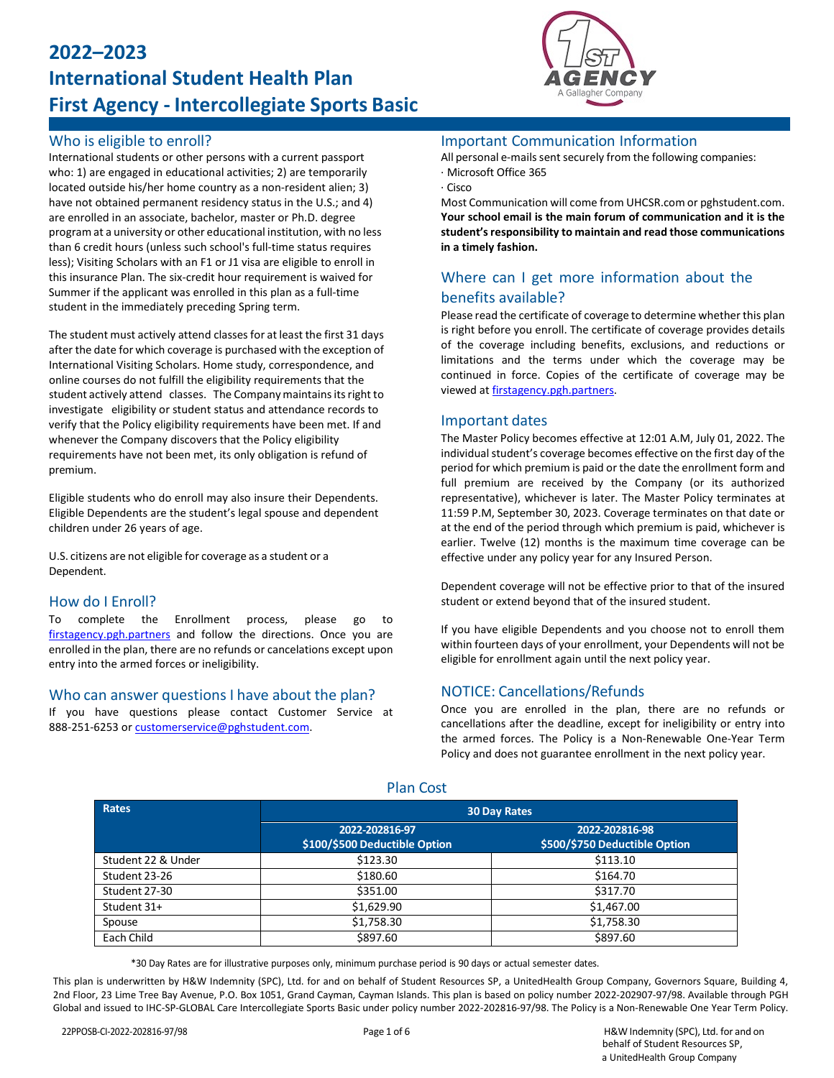# **2022–2023 International Student Health Plan First Agency - Intercollegiate Sports Basic**

### Who is eligible to enroll?

International students or other persons with a current passport who: 1) are engaged in educational activities; 2) are temporarily located outside his/her home country as a non-resident alien; 3) have not obtained permanent residency status in the U.S.; and 4) are enrolled in an associate, bachelor, master or Ph.D. degree program at a university or other educational institution, with no less than 6 credit hours (unless such school's full-time status requires less); Visiting Scholars with an F1 or J1 visa are eligible to enroll in this insurance Plan. The six-credit hour requirement is waived for Summer if the applicant was enrolled in this plan as a full-time student in the immediately preceding Spring term.

The student must actively attend classes for at least the first 31 days after the date for which coverage is purchased with the exception of International Visiting Scholars. Home study, correspondence, and online courses do not fulfill the eligibility requirements that the student actively attend classes. The Company maintains its right to investigate eligibility or student status and attendance records to verify that the Policy eligibility requirements have been met. If and whenever the Company discovers that the Policy eligibility requirements have not been met, its only obligation is refund of premium.

Eligible students who do enroll may also insure their Dependents. Eligible Dependents are the student's legal spouse and dependent children under 26 years of age.

U.S. citizens are not eligible for coverage as a student or a Dependent.

### How do I Enroll?

To complete the Enrollment process, please go to [firstagency.pgh.partners](https://firstagency.pgh.partners/) and follow the directions. Once you are enrolled in the plan, there are no refunds or cancelations except upon entry into the armed forces or ineligibility.

### Who can answer questions I have about the plan?

If you have questions please contact Customer Service at 888-251-6253 o[r customerservice@pghstudent.com.](mailto:customerservice@pghstudent.com)



### Important Communication Information

All personal e-mails sent securely from the following companies: · Microsoft Office 365

#### · Cisco

Most Communication will come from UHCSR.com or pghstudent.com. **Your school email is the main forum of communication and it is the** student's responsibility to maintain and read those communications **in a timely fashion.**

### Where can I get more information about the benefits available?

Please read the certificate of coverage to determine whether this plan is right before you enroll. The certificate of coverage provides details of the coverage including benefits, exclusions, and reductions or limitations and the terms under which the coverage may be continued in force. Copies of the certificate of coverage may be viewed a[t firstagency.pgh.partners.](https://firstagency.pgh.partners/)

#### Important dates

The Master Policy becomes effective at 12:01 A.M, July 01, 2022. The individual student's coverage becomes effective on the first day of the period for which premium is paid or the date the enrollment form and full premium are received by the Company (or its authorized representative), whichever is later. The Master Policy terminates at 11:59 P.M, September 30, 2023. Coverage terminates on that date or at the end of the period through which premium is paid, whichever is earlier. Twelve (12) months is the maximum time coverage can be effective under any policy year for any Insured Person.

Dependent coverage will not be effective prior to that of the insured student or extend beyond that of the insured student.

If you have eligible Dependents and you choose not to enroll them within fourteen days of your enrollment, your Dependents will not be eligible for enrollment again until the next policy year.

#### NOTICE: Cancellations/Refunds

Once you are enrolled in the plan, there are no refunds or cancellations after the deadline, except for ineligibility or entry into the armed forces. The Policy is a Non-Renewable One-Year Term Policy and does not guarantee enrollment in the next policy year.

| <b>Rates</b>       |                                                 | <b>30 Day Rates</b>                             |
|--------------------|-------------------------------------------------|-------------------------------------------------|
|                    | 2022-202816-97<br>\$100/\$500 Deductible Option | 2022-202816-98<br>\$500/\$750 Deductible Option |
| Student 22 & Under | \$123.30                                        | \$113.10                                        |
| Student 23-26      | \$180.60                                        | \$164.70                                        |
| Student 27-30      | \$351.00                                        | \$317.70                                        |
| Student 31+        | \$1,629.90                                      | \$1,467.00                                      |
| Spouse             | \$1,758.30                                      | \$1,758.30                                      |
| Each Child         | \$897.60                                        | \$897.60                                        |

Plan Cost

\*30 Day Rates are for illustrative purposes only, minimum purchase period is 90 days or actual semester dates.

This plan is underwritten by H&W Indemnity (SPC), Ltd. for and on behalf of Student Resources SP, a UnitedHealth Group Company, Governors Square, Building 4, 2nd Floor, 23 Lime Tree Bay Avenue, P.O. Box 1051, Grand Cayman, Cayman Islands. This plan is based on policy number 2022-202907-97/98. Available through PGH Global and issued to IHC-SP-GLOBAL Care Intercollegiate Sports Basic under policy number 2022-202816-97/98. The Policy is a Non-Renewable One Year Term Policy.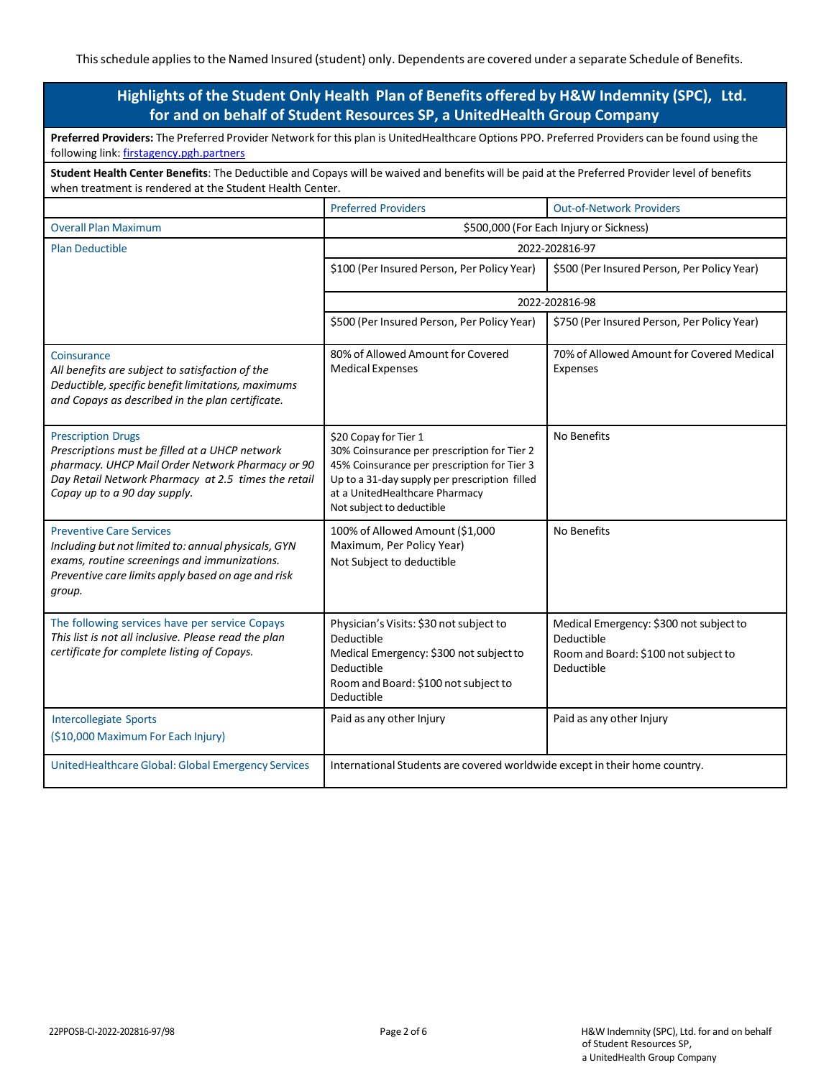### **Highlights of the Student Only Health Plan of Benefits offered by H&W Indemnity (SPC), Ltd. for and on behalf of Student Resources SP, a UnitedHealth Group Company**

| Preferred Providers: The Preferred Provider Network for this plan is UnitedHealthcare Options PPO. Preferred Providers can be found using the<br>following link: firstagency.pgh.partners                              |                                                                                                                                                                                                                                     |                                                                                                             |  |  |
|------------------------------------------------------------------------------------------------------------------------------------------------------------------------------------------------------------------------|-------------------------------------------------------------------------------------------------------------------------------------------------------------------------------------------------------------------------------------|-------------------------------------------------------------------------------------------------------------|--|--|
| Student Health Center Benefits: The Deductible and Copays will be waived and benefits will be paid at the Preferred Provider level of benefits<br>when treatment is rendered at the Student Health Center.             |                                                                                                                                                                                                                                     |                                                                                                             |  |  |
|                                                                                                                                                                                                                        | <b>Preferred Providers</b>                                                                                                                                                                                                          | <b>Out-of-Network Providers</b>                                                                             |  |  |
| <b>Overall Plan Maximum</b>                                                                                                                                                                                            | \$500,000 (For Each Injury or Sickness)                                                                                                                                                                                             |                                                                                                             |  |  |
| <b>Plan Deductible</b>                                                                                                                                                                                                 | 2022-202816-97                                                                                                                                                                                                                      |                                                                                                             |  |  |
|                                                                                                                                                                                                                        | \$100 (Per Insured Person, Per Policy Year)                                                                                                                                                                                         | \$500 (Per Insured Person, Per Policy Year)                                                                 |  |  |
|                                                                                                                                                                                                                        | 2022-202816-98                                                                                                                                                                                                                      |                                                                                                             |  |  |
|                                                                                                                                                                                                                        | \$500 (Per Insured Person, Per Policy Year)                                                                                                                                                                                         | \$750 (Per Insured Person, Per Policy Year)                                                                 |  |  |
| Coinsurance<br>All benefits are subject to satisfaction of the<br>Deductible, specific benefit limitations, maximums<br>and Copays as described in the plan certificate.                                               | 80% of Allowed Amount for Covered<br><b>Medical Expenses</b>                                                                                                                                                                        | 70% of Allowed Amount for Covered Medical<br>Expenses                                                       |  |  |
| <b>Prescription Drugs</b><br>Prescriptions must be filled at a UHCP network<br>pharmacy. UHCP Mail Order Network Pharmacy or 90<br>Day Retail Network Pharmacy at 2.5 times the retail<br>Copay up to a 90 day supply. | \$20 Copay for Tier 1<br>30% Coinsurance per prescription for Tier 2<br>45% Coinsurance per prescription for Tier 3<br>Up to a 31-day supply per prescription filled<br>at a UnitedHealthcare Pharmacy<br>Not subject to deductible | No Benefits                                                                                                 |  |  |
| <b>Preventive Care Services</b><br>Including but not limited to: annual physicals, GYN<br>exams, routine screenings and immunizations.<br>Preventive care limits apply based on age and risk<br>group.                 | 100% of Allowed Amount (\$1,000<br>Maximum, Per Policy Year)<br>Not Subject to deductible                                                                                                                                           | No Benefits                                                                                                 |  |  |
| The following services have per service Copays<br>This list is not all inclusive. Please read the plan<br>certificate for complete listing of Copays.                                                                  | Physician's Visits: \$30 not subject to<br>Deductible<br>Medical Emergency: \$300 not subject to<br>Deductible<br>Room and Board: \$100 not subject to<br>Deductible                                                                | Medical Emergency: \$300 not subject to<br>Deductible<br>Room and Board: \$100 not subject to<br>Deductible |  |  |
| <b>Intercollegiate Sports</b><br>(\$10,000 Maximum For Each Injury)                                                                                                                                                    | Paid as any other Injury                                                                                                                                                                                                            | Paid as any other Injury                                                                                    |  |  |
| UnitedHealthcare Global: Global Emergency Services                                                                                                                                                                     | International Students are covered worldwide except in their home country.                                                                                                                                                          |                                                                                                             |  |  |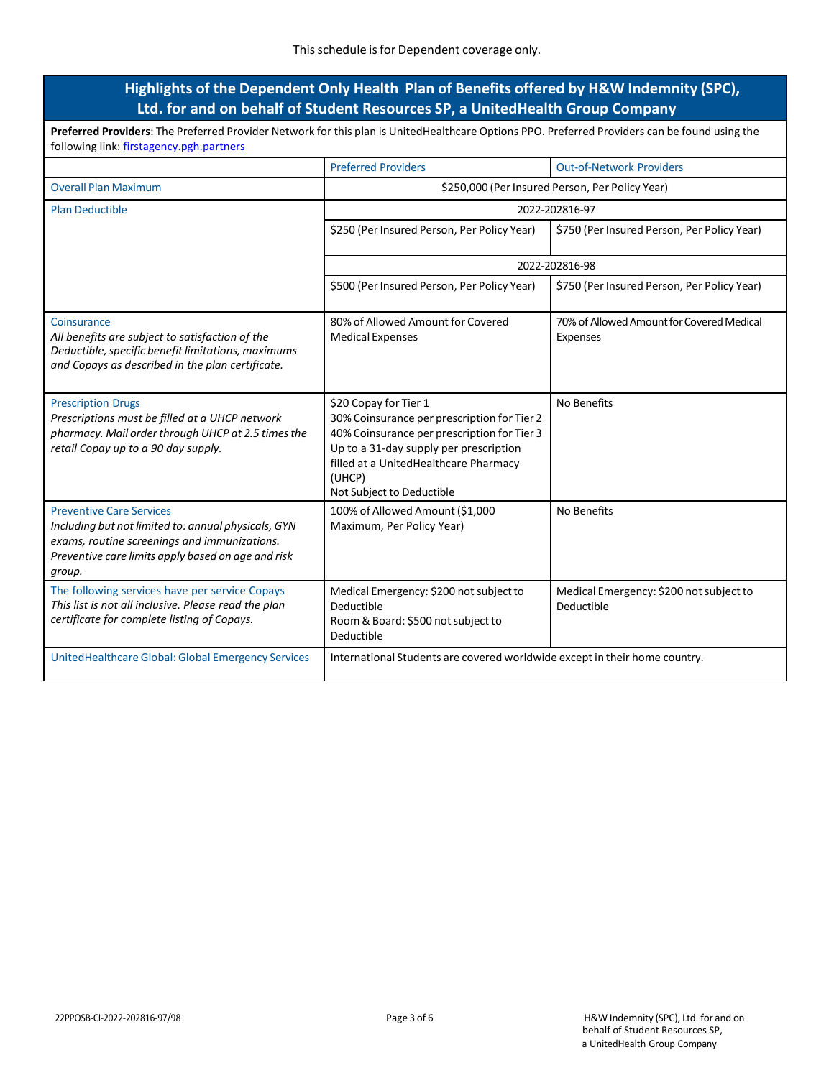### **Highlights of the Dependent Only Health Plan of Benefits offered by H&W Indemnity (SPC), Ltd. for and on behalf of Student Resources SP, a UnitedHealth Group Company**

| Preferred Providers: The Preferred Provider Network for this plan is UnitedHealthcare Options PPO. Preferred Providers can be found using the<br>following link: firstagency.pgh.partners              |                                                                                                                                                                                                                                               |                                                       |  |  |
|--------------------------------------------------------------------------------------------------------------------------------------------------------------------------------------------------------|-----------------------------------------------------------------------------------------------------------------------------------------------------------------------------------------------------------------------------------------------|-------------------------------------------------------|--|--|
|                                                                                                                                                                                                        | <b>Preferred Providers</b>                                                                                                                                                                                                                    | <b>Out-of-Network Providers</b>                       |  |  |
| <b>Overall Plan Maximum</b>                                                                                                                                                                            |                                                                                                                                                                                                                                               | \$250,000 (Per Insured Person, Per Policy Year)       |  |  |
| <b>Plan Deductible</b>                                                                                                                                                                                 | 2022-202816-97                                                                                                                                                                                                                                |                                                       |  |  |
|                                                                                                                                                                                                        | \$250 (Per Insured Person, Per Policy Year)                                                                                                                                                                                                   | \$750 (Per Insured Person, Per Policy Year)           |  |  |
|                                                                                                                                                                                                        | 2022-202816-98                                                                                                                                                                                                                                |                                                       |  |  |
|                                                                                                                                                                                                        | \$500 (Per Insured Person, Per Policy Year)                                                                                                                                                                                                   | \$750 (Per Insured Person, Per Policy Year)           |  |  |
| Coinsurance<br>All benefits are subject to satisfaction of the<br>Deductible, specific benefit limitations, maximums<br>and Copays as described in the plan certificate.                               | 80% of Allowed Amount for Covered<br><b>Medical Expenses</b>                                                                                                                                                                                  | 70% of Allowed Amount for Covered Medical<br>Expenses |  |  |
| <b>Prescription Drugs</b><br>Prescriptions must be filled at a UHCP network<br>pharmacy. Mail order through UHCP at 2.5 times the<br>retail Copay up to a 90 day supply.                               | \$20 Copay for Tier 1<br>30% Coinsurance per prescription for Tier 2<br>40% Coinsurance per prescription for Tier 3<br>Up to a 31-day supply per prescription<br>filled at a UnitedHealthcare Pharmacy<br>(UHCP)<br>Not Subject to Deductible | No Benefits                                           |  |  |
| <b>Preventive Care Services</b><br>Including but not limited to: annual physicals, GYN<br>exams, routine screenings and immunizations.<br>Preventive care limits apply based on age and risk<br>group. | 100% of Allowed Amount (\$1,000<br>Maximum, Per Policy Year)                                                                                                                                                                                  | No Benefits                                           |  |  |
| The following services have per service Copays<br>This list is not all inclusive. Please read the plan<br>certificate for complete listing of Copays.                                                  | Medical Emergency: \$200 not subject to<br>Deductible<br>Room & Board: \$500 not subject to<br>Deductible                                                                                                                                     | Medical Emergency: \$200 not subject to<br>Deductible |  |  |
| UnitedHealthcare Global: Global Emergency Services                                                                                                                                                     | International Students are covered worldwide except in their home country.                                                                                                                                                                    |                                                       |  |  |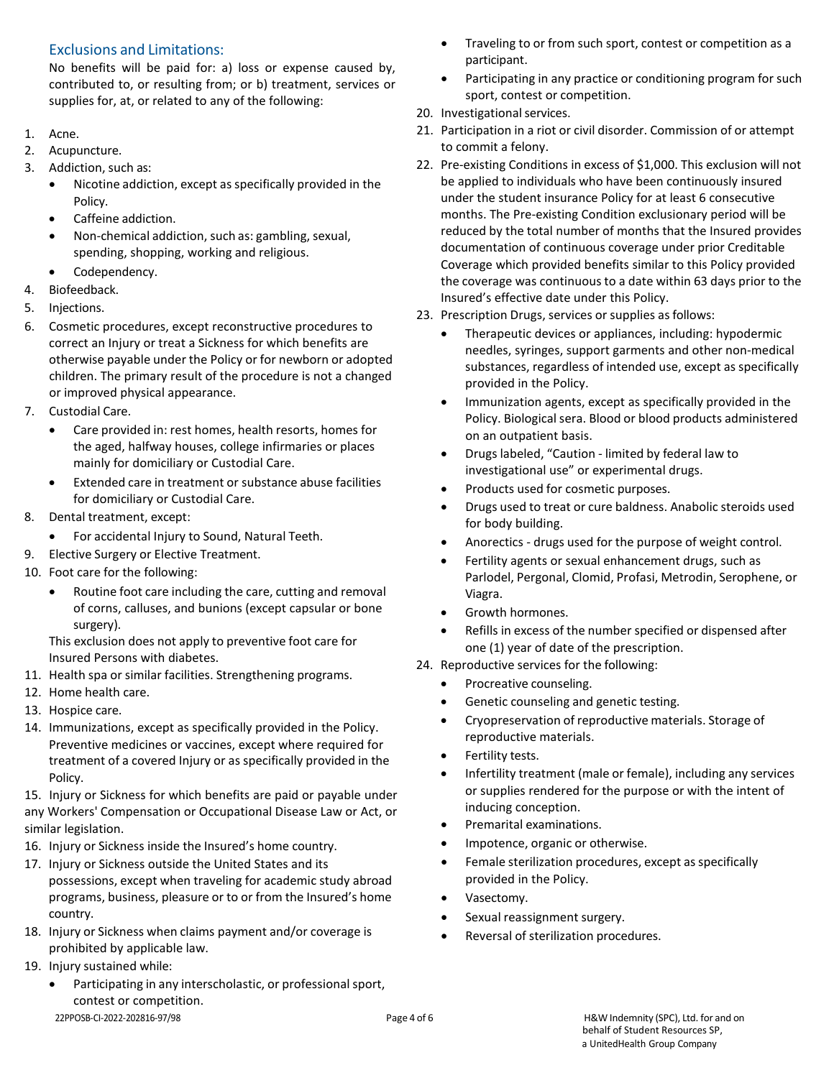### Exclusions and Limitations:

No benefits will be paid for: a) loss or expense caused by, contributed to, or resulting from; or b) treatment, services or supplies for, at, or related to any of the following:

- 1. Acne.
- 2. Acupuncture.
- 3. Addiction, such as:
	- Nicotine addiction, except as specifically provided in the Policy.
	- Caffeine addiction.
	- Non-chemical addiction, such as: gambling, sexual, spending, shopping, working and religious.
	- Codependency.
- 4. Biofeedback.
- 5. Injections.
- 6. Cosmetic procedures, except reconstructive procedures to correct an Injury or treat a Sickness for which benefits are otherwise payable under the Policy or for newborn or adopted children. The primary result of the procedure is not a changed or improved physical appearance.
- 7. Custodial Care.
	- Care provided in: rest homes, health resorts, homes for the aged, halfway houses, college infirmaries or places mainly for domiciliary or Custodial Care.
	- Extended care in treatment or substance abuse facilities for domiciliary or Custodial Care.
- 8. Dental treatment, except:
	- For accidental Injury to Sound, Natural Teeth.
- 9. Elective Surgery or Elective Treatment.
- 10. Foot care for the following:
	- Routine foot care including the care, cutting and removal of corns, calluses, and bunions (except capsular or bone surgery).
	- This exclusion does not apply to preventive foot care for Insured Persons with diabetes.
- 11. Health spa or similar facilities. Strengthening programs.
- 12. Home health care.
- 13. Hospice care.
- 14. Immunizations, except as specifically provided in the Policy. Preventive medicines or vaccines, except where required for treatment of a covered Injury or as specifically provided in the Policy.

15. Injury or Sickness for which benefits are paid or payable under any Workers' Compensation or Occupational Disease Law or Act, or similar legislation.

- 16. Injury or Sickness inside the Insured's home country.
- 17. Injury or Sickness outside the United States and its possessions, except when traveling for academic study abroad programs, business, pleasure or to or from the Insured's home country.
- 18. Injury or Sickness when claims payment and/or coverage is prohibited by applicable law.
- 19. Injury sustained while:
	- 22PPOSB-CI-2022-202816-97/98 Page 4 of 6 H&W Indemnity (SPC), Ltd. for and on Participating in any interscholastic, or professional sport, contest or competition.
- Traveling to or from such sport, contest or competition as a participant.
- Participating in any practice or conditioning program for such sport, contest or competition.
- 20. Investigational services.
- 21. Participation in a riot or civil disorder. Commission of or attempt to commit a felony.
- 22. Pre-existing Conditions in excess of \$1,000. This exclusion will not be applied to individuals who have been continuously insured under the student insurance Policy for at least 6 consecutive months. The Pre-existing Condition exclusionary period will be reduced by the total number of months that the Insured provides documentation of continuous coverage under prior Creditable Coverage which provided benefits similar to this Policy provided the coverage was continuous to a date within 63 days prior to the Insured's effective date under this Policy.
- 23. Prescription Drugs, services or supplies as follows:
	- Therapeutic devices or appliances, including: hypodermic needles, syringes, support garments and other non-medical substances, regardless of intended use, except as specifically provided in the Policy.
	- Immunization agents, except as specifically provided in the Policy. Biological sera. Blood or blood products administered on an outpatient basis.
	- Drugs labeled, "Caution limited by federal law to investigational use" or experimental drugs.
	- Products used for cosmetic purposes.
	- Drugs used to treat or cure baldness. Anabolic steroids used for body building.
	- Anorectics drugs used for the purpose of weight control.
	- Fertility agents or sexual enhancement drugs, such as Parlodel, Pergonal, Clomid, Profasi, Metrodin, Serophene, or Viagra.
	- Growth hormones.
	- Refills in excess of the number specified or dispensed after one (1) year of date of the prescription.
- 24. Reproductive services for the following:
	- Procreative counseling.
	- Genetic counseling and genetic testing.
	- Cryopreservation of reproductive materials. Storage of reproductive materials.
	- Fertility tests.
	- Infertility treatment (male or female), including any services or supplies rendered for the purpose or with the intent of inducing conception.
	- Premarital examinations.
	- Impotence, organic or otherwise.
	- Female sterilization procedures, except as specifically provided in the Policy.
	- Vasectomy.
	- Sexual reassignment surgery.
	- Reversal of sterilization procedures.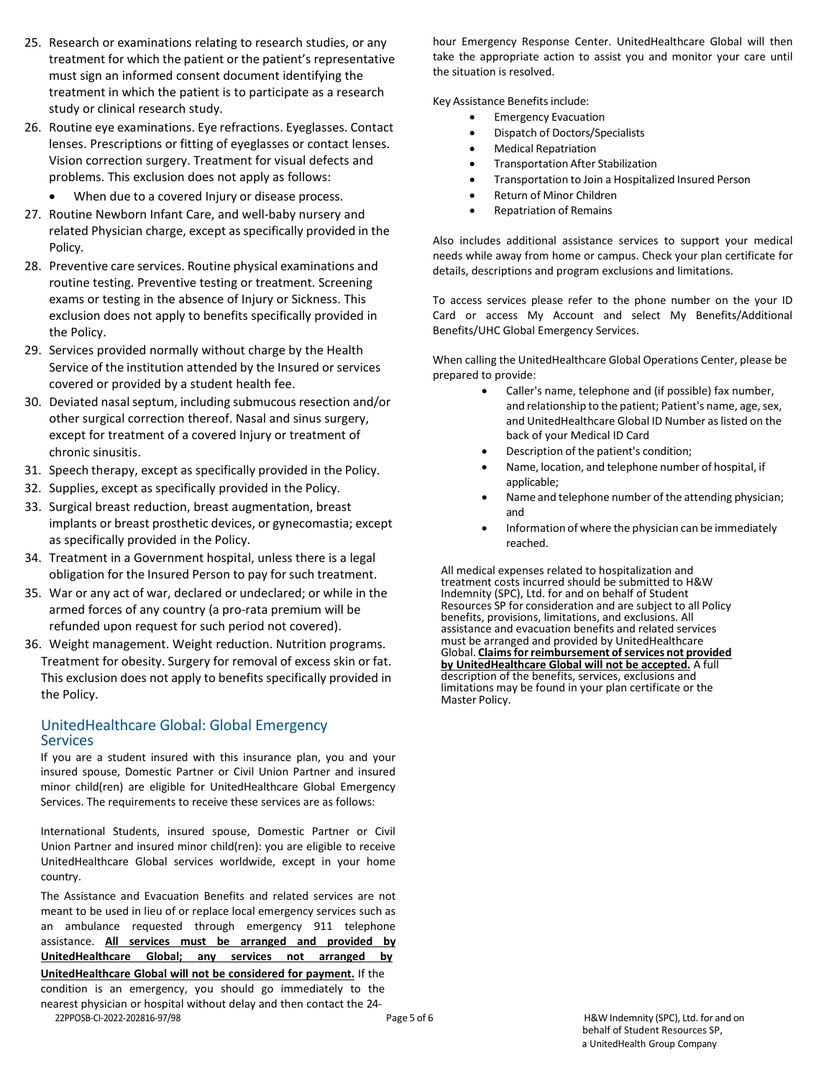- 25. Research or examinations relating to research studies, or any treatment for which the patient or the patient's representative must sign an informed consent document identifying the treatment in which the patient is to participate as a research study or clinical research study.
- 26. Routine eye examinations. Eye refractions. Eyeglasses. Contact lenses. Prescriptions or fitting of eyeglasses or contact lenses. Vision correction surgery. Treatment for visual defects and problems. This exclusion does not apply as follows:
	- When due to a covered Injury or disease process.
- 27. Routine Newborn Infant Care, and well-baby nursery and related Physician charge, except as specifically provided in the Policy.
- 28. Preventive care services. Routine physical examinations and routine testing. Preventive testing or treatment. Screening exams or testing in the absence of Injury or Sickness. This exclusion does not apply to benefits specifically provided in the Policy.
- 29. Services provided normally without charge by the Health Service of the institution attended by the Insured or services covered or provided by a student health fee.
- 30. Deviated nasal septum, including submucous resection and/or other surgical correction thereof. Nasal and sinus surgery, except for treatment of a covered Injury or treatment of chronic sinusitis.
- 31. Speech therapy, except as specifically provided in the Policy.
- 32. Supplies, except as specifically provided in the Policy.
- 33. Surgical breast reduction, breast augmentation, breast implants or breast prosthetic devices, or gynecomastia; except as specifically provided in the Policy.
- 34. Treatment in a Government hospital, unless there is a legal obligation for the Insured Person to pay for such treatment.
- 35. War or any act of war, declared or undeclared; or while in the armed forces of any country (a pro-rata premium will be refunded upon request for such period not covered).
- 36. Weight management. Weight reduction. Nutrition programs. Treatment for obesity. Surgery for removal of excess skin or fat. This exclusion does not apply to benefits specifically provided in the Policy.

#### UnitedHealthcare Global: Global Emergency **Services**

If you are a student insured with this insurance plan, you and your insured spouse, Domestic Partner or Civil Union Partner and insured minor child(ren) are eligible for UnitedHealthcare Global Emergency Services. The requirements to receive these services are as follows:

International Students, insured spouse, Domestic Partner or Civil Union Partner and insured minor child(ren): you are eligible to receive UnitedHealthcare Global services worldwide, except in your home country.

The Assistance and Evacuation Benefits and related services are not meant to be used in lieu of or replace local emergency services such as an ambulance requested through emergency 911 telephone assistance. **All services must be arranged and provided by UnitedHealthcare Global; any services not arranged by UnitedHealthcare Global will not be considered for payment.** If the condition is an emergency, you should go immediately to the nearest physician or hospital without delay and then contact the 24-

hour Emergency Response Center. UnitedHealthcare Global will then take the appropriate action to assist you and monitor your care until the situation is resolved.

Key Assistance Benefits include:

- Emergency Evacuation
	- Dispatch of Doctors/Specialists
	- Medical Repatriation
	- Transportation After Stabilization
	- Transportation to Join a Hospitalized Insured Person
	- Return of Minor Children
- Repatriation of Remains

Also includes additional assistance services to support your medical needs while away from home or campus. Check your plan certificate for details, descriptions and program exclusions and limitations.

To access services please refer to the phone number on the your ID Card or access My Account and select My Benefits/Additional Benefits/UHC Global Emergency Services.

When calling the UnitedHealthcare Global Operations Center, please be prepared to provide:

- Caller's name, telephone and (if possible) fax number, and relationship to the patient; Patient's name, age, sex, and UnitedHealthcare Global ID Number as listed on the back of your Medical ID Card
- Description of the patient's condition;
- Name, location, and telephone number of hospital, if applicable;
- Name and telephone number of the attending physician; and
- Information of where the physician can be immediately reached.

All medical expenses related to hospitalization and treatment costs incurred should be submitted to H&W Indemnity (SPC), Ltd. for and on behalf of Student Resources SP for consideration and are subject to all Policy benefits, provisions, limitations, and exclusions. All assistance and evacuation benefits and related services must be arranged and provided by UnitedHealthcare Global. **Claimsfor reimbursement ofservices not provided by UnitedHealthcare Global will not be accepted.** A full description of the benefits, services, exclusions and limitations may be found in your plan certificate or the Master Policy.